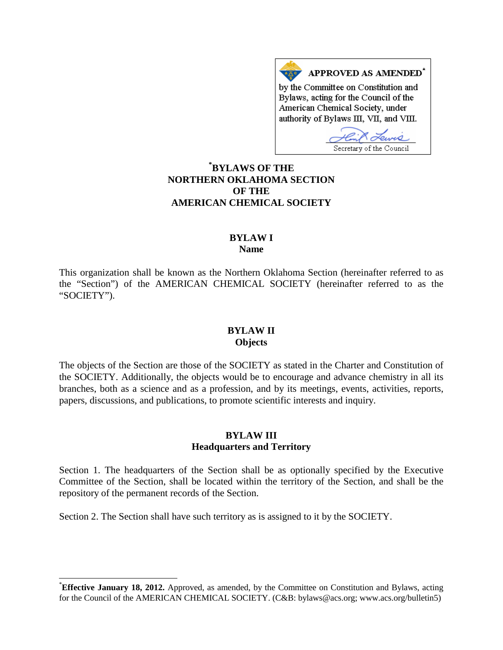APPROVED AS AMENDED\* by the Committee on Constitution and Bylaws, acting for the Council of the American Chemical Society, under authority of Bylaws III, VII, and VIII.

Secretary of the Council

# **[\\*](#page-0-0) BYLAWS OF THE NORTHERN OKLAHOMA SECTION OF THE AMERICAN CHEMICAL SOCIETY**

#### **BYLAW I Name**

This organization shall be known as the Northern Oklahoma Section (hereinafter referred to as the "Section") of the AMERICAN CHEMICAL SOCIETY (hereinafter referred to as the "SOCIETY").

#### **BYLAW II Objects**

The objects of the Section are those of the SOCIETY as stated in the Charter and Constitution of the SOCIETY. Additionally, the objects would be to encourage and advance chemistry in all its branches, both as a science and as a profession, and by its meetings, events, activities, reports, papers, discussions, and publications, to promote scientific interests and inquiry.

## **BYLAW III Headquarters and Territory**

Section 1. The headquarters of the Section shall be as optionally specified by the Executive Committee of the Section, shall be located within the territory of the Section, and shall be the repository of the permanent records of the Section.

Section 2. The Section shall have such territory as is assigned to it by the SOCIETY.

<span id="page-0-0"></span>**Effective January 18, 2012.** Approved, as amended, by the Committee on Constitution and Bylaws, acting for the Council of the AMERICAN CHEMICAL SOCIETY. (C&B: bylaws@acs.org; www.acs.org/bulletin5)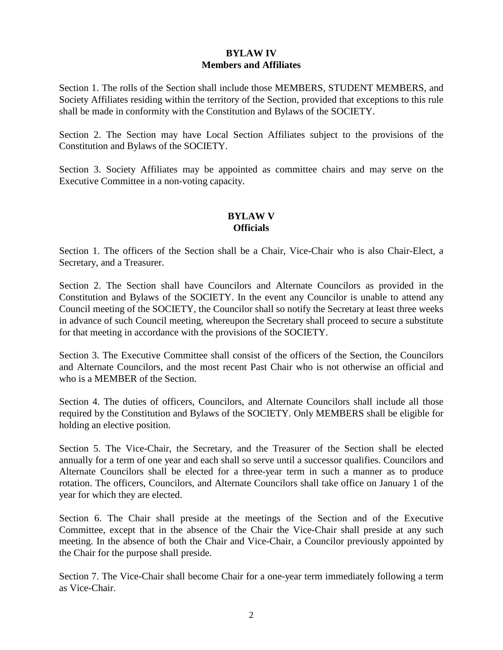# **BYLAW IV Members and Affiliates**

Section 1. The rolls of the Section shall include those MEMBERS, STUDENT MEMBERS, and Society Affiliates residing within the territory of the Section, provided that exceptions to this rule shall be made in conformity with the Constitution and Bylaws of the SOCIETY.

Section 2. The Section may have Local Section Affiliates subject to the provisions of the Constitution and Bylaws of the SOCIETY.

Section 3. Society Affiliates may be appointed as committee chairs and may serve on the Executive Committee in a non-voting capacity.

### **BYLAW V Officials**

Section 1. The officers of the Section shall be a Chair, Vice-Chair who is also Chair-Elect, a Secretary, and a Treasurer.

Section 2. The Section shall have Councilors and Alternate Councilors as provided in the Constitution and Bylaws of the SOCIETY. In the event any Councilor is unable to attend any Council meeting of the SOCIETY, the Councilor shall so notify the Secretary at least three weeks in advance of such Council meeting, whereupon the Secretary shall proceed to secure a substitute for that meeting in accordance with the provisions of the SOCIETY.

Section 3. The Executive Committee shall consist of the officers of the Section, the Councilors and Alternate Councilors, and the most recent Past Chair who is not otherwise an official and who is a MEMBER of the Section.

Section 4. The duties of officers, Councilors, and Alternate Councilors shall include all those required by the Constitution and Bylaws of the SOCIETY. Only MEMBERS shall be eligible for holding an elective position.

Section 5. The Vice-Chair, the Secretary, and the Treasurer of the Section shall be elected annually for a term of one year and each shall so serve until a successor qualifies. Councilors and Alternate Councilors shall be elected for a three-year term in such a manner as to produce rotation. The officers, Councilors, and Alternate Councilors shall take office on January 1 of the year for which they are elected.

Section 6. The Chair shall preside at the meetings of the Section and of the Executive Committee, except that in the absence of the Chair the Vice-Chair shall preside at any such meeting. In the absence of both the Chair and Vice-Chair, a Councilor previously appointed by the Chair for the purpose shall preside.

Section 7. The Vice-Chair shall become Chair for a one-year term immediately following a term as Vice-Chair.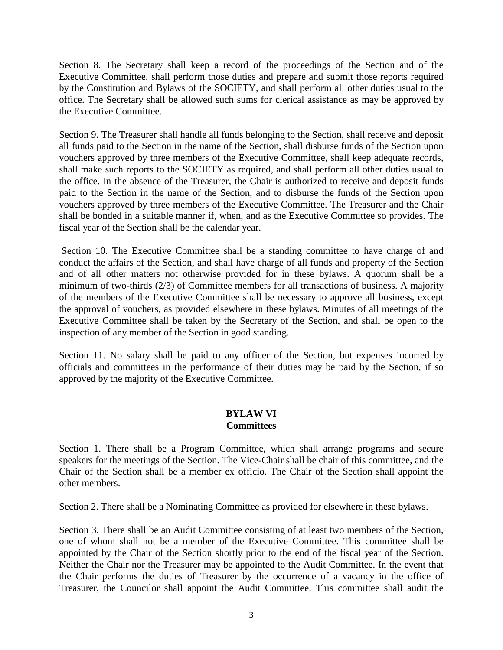Section 8. The Secretary shall keep a record of the proceedings of the Section and of the Executive Committee, shall perform those duties and prepare and submit those reports required by the Constitution and Bylaws of the SOCIETY, and shall perform all other duties usual to the office. The Secretary shall be allowed such sums for clerical assistance as may be approved by the Executive Committee.

Section 9. The Treasurer shall handle all funds belonging to the Section, shall receive and deposit all funds paid to the Section in the name of the Section, shall disburse funds of the Section upon vouchers approved by three members of the Executive Committee, shall keep adequate records, shall make such reports to the SOCIETY as required, and shall perform all other duties usual to the office. In the absence of the Treasurer, the Chair is authorized to receive and deposit funds paid to the Section in the name of the Section, and to disburse the funds of the Section upon vouchers approved by three members of the Executive Committee. The Treasurer and the Chair shall be bonded in a suitable manner if, when, and as the Executive Committee so provides. The fiscal year of the Section shall be the calendar year.

Section 10. The Executive Committee shall be a standing committee to have charge of and conduct the affairs of the Section, and shall have charge of all funds and property of the Section and of all other matters not otherwise provided for in these bylaws. A quorum shall be a minimum of two-thirds (2/3) of Committee members for all transactions of business. A majority of the members of the Executive Committee shall be necessary to approve all business, except the approval of vouchers, as provided elsewhere in these bylaws. Minutes of all meetings of the Executive Committee shall be taken by the Secretary of the Section, and shall be open to the inspection of any member of the Section in good standing.

Section 11. No salary shall be paid to any officer of the Section, but expenses incurred by officials and committees in the performance of their duties may be paid by the Section, if so approved by the majority of the Executive Committee.

## **BYLAW VI Committees**

Section 1. There shall be a Program Committee, which shall arrange programs and secure speakers for the meetings of the Section. The Vice-Chair shall be chair of this committee, and the Chair of the Section shall be a member ex officio. The Chair of the Section shall appoint the other members.

Section 2. There shall be a Nominating Committee as provided for elsewhere in these bylaws.

Section 3. There shall be an Audit Committee consisting of at least two members of the Section, one of whom shall not be a member of the Executive Committee. This committee shall be appointed by the Chair of the Section shortly prior to the end of the fiscal year of the Section. Neither the Chair nor the Treasurer may be appointed to the Audit Committee. In the event that the Chair performs the duties of Treasurer by the occurrence of a vacancy in the office of Treasurer, the Councilor shall appoint the Audit Committee. This committee shall audit the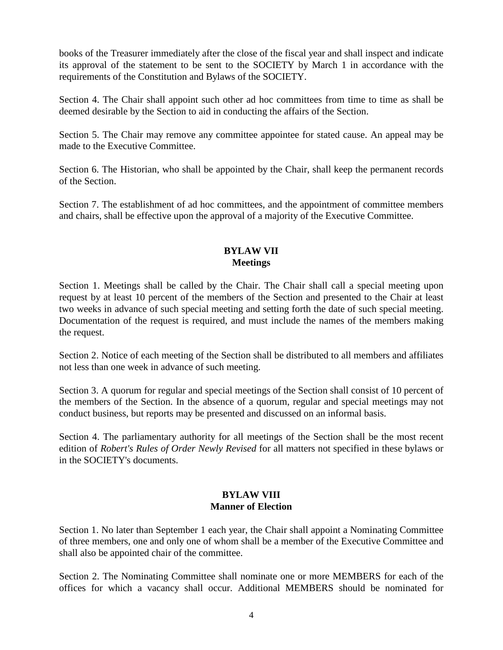books of the Treasurer immediately after the close of the fiscal year and shall inspect and indicate its approval of the statement to be sent to the SOCIETY by March 1 in accordance with the requirements of the Constitution and Bylaws of the SOCIETY.

Section 4. The Chair shall appoint such other ad hoc committees from time to time as shall be deemed desirable by the Section to aid in conducting the affairs of the Section.

Section 5. The Chair may remove any committee appointee for stated cause. An appeal may be made to the Executive Committee.

Section 6. The Historian, who shall be appointed by the Chair, shall keep the permanent records of the Section.

Section 7. The establishment of ad hoc committees, and the appointment of committee members and chairs, shall be effective upon the approval of a majority of the Executive Committee.

## **BYLAW VII Meetings**

Section 1. Meetings shall be called by the Chair. The Chair shall call a special meeting upon request by at least 10 percent of the members of the Section and presented to the Chair at least two weeks in advance of such special meeting and setting forth the date of such special meeting. Documentation of the request is required, and must include the names of the members making the request.

Section 2. Notice of each meeting of the Section shall be distributed to all members and affiliates not less than one week in advance of such meeting.

Section 3. A quorum for regular and special meetings of the Section shall consist of 10 percent of the members of the Section. In the absence of a quorum, regular and special meetings may not conduct business, but reports may be presented and discussed on an informal basis.

Section 4. The parliamentary authority for all meetings of the Section shall be the most recent edition of *Robert's Rules of Order Newly Revised* for all matters not specified in these bylaws or in the SOCIETY's documents.

#### **BYLAW VIII Manner of Election**

Section 1. No later than September 1 each year, the Chair shall appoint a Nominating Committee of three members, one and only one of whom shall be a member of the Executive Committee and shall also be appointed chair of the committee.

Section 2. The Nominating Committee shall nominate one or more MEMBERS for each of the offices for which a vacancy shall occur. Additional MEMBERS should be nominated for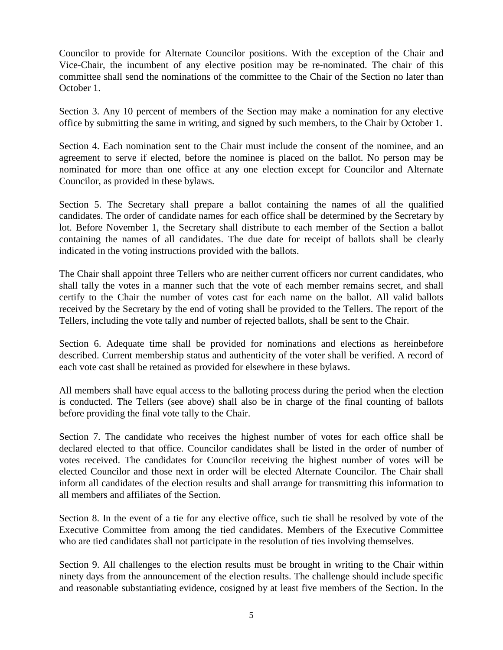Councilor to provide for Alternate Councilor positions. With the exception of the Chair and Vice-Chair, the incumbent of any elective position may be re-nominated. The chair of this committee shall send the nominations of the committee to the Chair of the Section no later than October 1.

Section 3. Any 10 percent of members of the Section may make a nomination for any elective office by submitting the same in writing, and signed by such members, to the Chair by October 1.

Section 4. Each nomination sent to the Chair must include the consent of the nominee, and an agreement to serve if elected, before the nominee is placed on the ballot. No person may be nominated for more than one office at any one election except for Councilor and Alternate Councilor, as provided in these bylaws.

Section 5. The Secretary shall prepare a ballot containing the names of all the qualified candidates. The order of candidate names for each office shall be determined by the Secretary by lot. Before November 1, the Secretary shall distribute to each member of the Section a ballot containing the names of all candidates. The due date for receipt of ballots shall be clearly indicated in the voting instructions provided with the ballots.

The Chair shall appoint three Tellers who are neither current officers nor current candidates, who shall tally the votes in a manner such that the vote of each member remains secret, and shall certify to the Chair the number of votes cast for each name on the ballot. All valid ballots received by the Secretary by the end of voting shall be provided to the Tellers. The report of the Tellers, including the vote tally and number of rejected ballots, shall be sent to the Chair.

Section 6. Adequate time shall be provided for nominations and elections as hereinbefore described. Current membership status and authenticity of the voter shall be verified. A record of each vote cast shall be retained as provided for elsewhere in these bylaws.

All members shall have equal access to the balloting process during the period when the election is conducted. The Tellers (see above) shall also be in charge of the final counting of ballots before providing the final vote tally to the Chair.

Section 7. The candidate who receives the highest number of votes for each office shall be declared elected to that office. Councilor candidates shall be listed in the order of number of votes received. The candidates for Councilor receiving the highest number of votes will be elected Councilor and those next in order will be elected Alternate Councilor. The Chair shall inform all candidates of the election results and shall arrange for transmitting this information to all members and affiliates of the Section.

Section 8. In the event of a tie for any elective office, such tie shall be resolved by vote of the Executive Committee from among the tied candidates. Members of the Executive Committee who are tied candidates shall not participate in the resolution of ties involving themselves.

Section 9. All challenges to the election results must be brought in writing to the Chair within ninety days from the announcement of the election results. The challenge should include specific and reasonable substantiating evidence, cosigned by at least five members of the Section. In the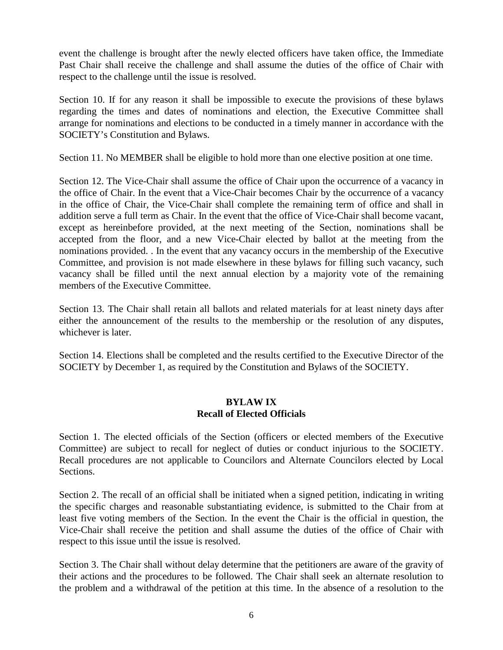event the challenge is brought after the newly elected officers have taken office, the Immediate Past Chair shall receive the challenge and shall assume the duties of the office of Chair with respect to the challenge until the issue is resolved.

Section 10. If for any reason it shall be impossible to execute the provisions of these bylaws regarding the times and dates of nominations and election, the Executive Committee shall arrange for nominations and elections to be conducted in a timely manner in accordance with the SOCIETY's Constitution and Bylaws.

Section 11. No MEMBER shall be eligible to hold more than one elective position at one time.

Section 12. The Vice-Chair shall assume the office of Chair upon the occurrence of a vacancy in the office of Chair. In the event that a Vice-Chair becomes Chair by the occurrence of a vacancy in the office of Chair, the Vice-Chair shall complete the remaining term of office and shall in addition serve a full term as Chair. In the event that the office of Vice-Chair shall become vacant, except as hereinbefore provided, at the next meeting of the Section, nominations shall be accepted from the floor, and a new Vice-Chair elected by ballot at the meeting from the nominations provided. . In the event that any vacancy occurs in the membership of the Executive Committee, and provision is not made elsewhere in these bylaws for filling such vacancy, such vacancy shall be filled until the next annual election by a majority vote of the remaining members of the Executive Committee.

Section 13. The Chair shall retain all ballots and related materials for at least ninety days after either the announcement of the results to the membership or the resolution of any disputes, whichever is later.

Section 14. Elections shall be completed and the results certified to the Executive Director of the SOCIETY by December 1, as required by the Constitution and Bylaws of the SOCIETY.

#### **BYLAW IX Recall of Elected Officials**

Section 1. The elected officials of the Section (officers or elected members of the Executive Committee) are subject to recall for neglect of duties or conduct injurious to the SOCIETY. Recall procedures are not applicable to Councilors and Alternate Councilors elected by Local Sections.

Section 2. The recall of an official shall be initiated when a signed petition, indicating in writing the specific charges and reasonable substantiating evidence, is submitted to the Chair from at least five voting members of the Section. In the event the Chair is the official in question, the Vice-Chair shall receive the petition and shall assume the duties of the office of Chair with respect to this issue until the issue is resolved.

Section 3. The Chair shall without delay determine that the petitioners are aware of the gravity of their actions and the procedures to be followed. The Chair shall seek an alternate resolution to the problem and a withdrawal of the petition at this time. In the absence of a resolution to the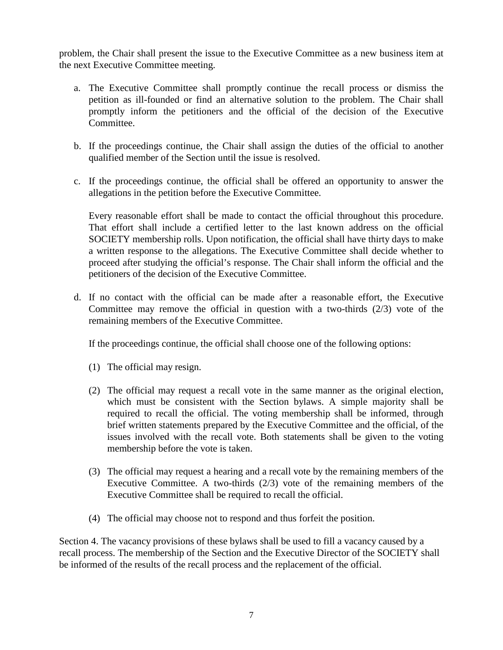problem, the Chair shall present the issue to the Executive Committee as a new business item at the next Executive Committee meeting.

- a. The Executive Committee shall promptly continue the recall process or dismiss the petition as ill-founded or find an alternative solution to the problem. The Chair shall promptly inform the petitioners and the official of the decision of the Executive Committee.
- b. If the proceedings continue, the Chair shall assign the duties of the official to another qualified member of the Section until the issue is resolved.
- c. If the proceedings continue, the official shall be offered an opportunity to answer the allegations in the petition before the Executive Committee.

Every reasonable effort shall be made to contact the official throughout this procedure. That effort shall include a certified letter to the last known address on the official SOCIETY membership rolls. Upon notification, the official shall have thirty days to make a written response to the allegations. The Executive Committee shall decide whether to proceed after studying the official's response. The Chair shall inform the official and the petitioners of the decision of the Executive Committee.

d. If no contact with the official can be made after a reasonable effort, the Executive Committee may remove the official in question with a two-thirds  $(2/3)$  vote of the remaining members of the Executive Committee.

If the proceedings continue, the official shall choose one of the following options:

- (1) The official may resign.
- (2) The official may request a recall vote in the same manner as the original election, which must be consistent with the Section bylaws. A simple majority shall be required to recall the official. The voting membership shall be informed, through brief written statements prepared by the Executive Committee and the official, of the issues involved with the recall vote. Both statements shall be given to the voting membership before the vote is taken.
- (3) The official may request a hearing and a recall vote by the remaining members of the Executive Committee. A two-thirds (2/3) vote of the remaining members of the Executive Committee shall be required to recall the official.
- (4) The official may choose not to respond and thus forfeit the position.

Section 4. The vacancy provisions of these bylaws shall be used to fill a vacancy caused by a recall process. The membership of the Section and the Executive Director of the SOCIETY shall be informed of the results of the recall process and the replacement of the official.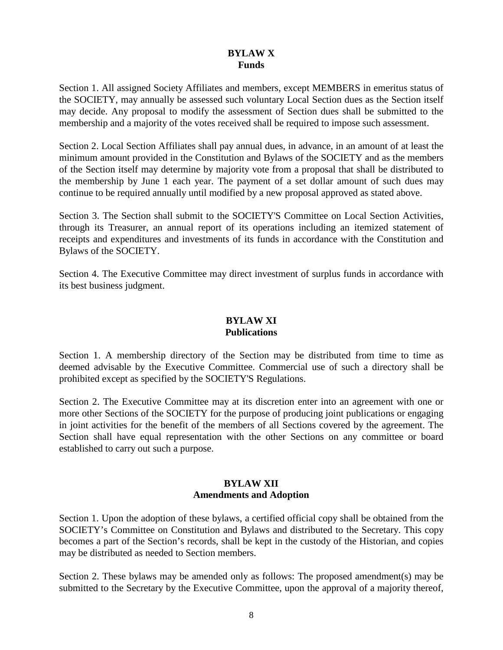#### **BYLAW X Funds**

Section 1. All assigned Society Affiliates and members, except MEMBERS in emeritus status of the SOCIETY, may annually be assessed such voluntary Local Section dues as the Section itself may decide. Any proposal to modify the assessment of Section dues shall be submitted to the membership and a majority of the votes received shall be required to impose such assessment.

Section 2. Local Section Affiliates shall pay annual dues, in advance, in an amount of at least the minimum amount provided in the Constitution and Bylaws of the SOCIETY and as the members of the Section itself may determine by majority vote from a proposal that shall be distributed to the membership by June 1 each year. The payment of a set dollar amount of such dues may continue to be required annually until modified by a new proposal approved as stated above.

Section 3. The Section shall submit to the SOCIETY'S Committee on Local Section Activities, through its Treasurer, an annual report of its operations including an itemized statement of receipts and expenditures and investments of its funds in accordance with the Constitution and Bylaws of the SOCIETY.

Section 4. The Executive Committee may direct investment of surplus funds in accordance with its best business judgment.

## **BYLAW XI Publications**

Section 1. A membership directory of the Section may be distributed from time to time as deemed advisable by the Executive Committee. Commercial use of such a directory shall be prohibited except as specified by the SOCIETY'S Regulations.

Section 2. The Executive Committee may at its discretion enter into an agreement with one or more other Sections of the SOCIETY for the purpose of producing joint publications or engaging in joint activities for the benefit of the members of all Sections covered by the agreement. The Section shall have equal representation with the other Sections on any committee or board established to carry out such a purpose.

## **BYLAW XII Amendments and Adoption**

Section 1. Upon the adoption of these bylaws, a certified official copy shall be obtained from the SOCIETY's Committee on Constitution and Bylaws and distributed to the Secretary. This copy becomes a part of the Section's records, shall be kept in the custody of the Historian, and copies may be distributed as needed to Section members.

Section 2. These bylaws may be amended only as follows: The proposed amendment(s) may be submitted to the Secretary by the Executive Committee, upon the approval of a majority thereof,